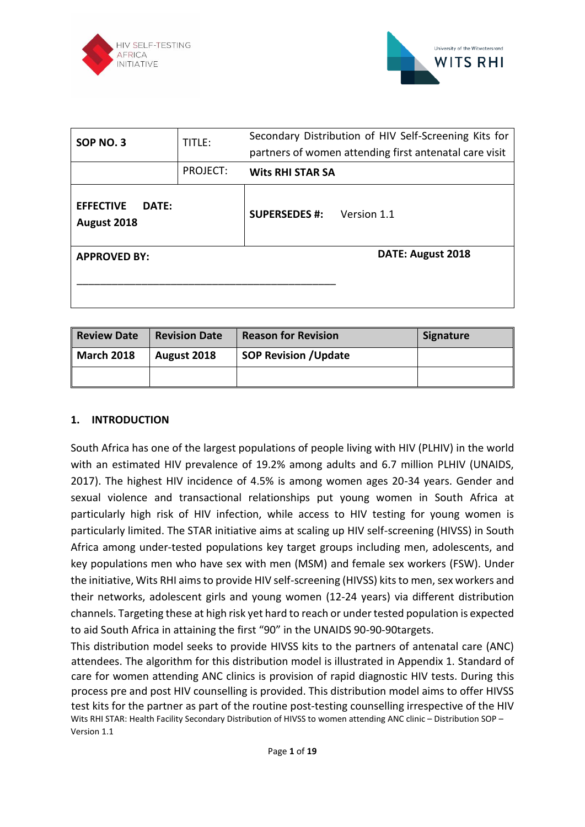



| SOP NO. 3                                | TITLE:   | Secondary Distribution of HIV Self-Screening Kits for<br>partners of women attending first antenatal care visit |  |  |  |  |  |
|------------------------------------------|----------|-----------------------------------------------------------------------------------------------------------------|--|--|--|--|--|
|                                          | PROJECT: | <b>Wits RHI STAR SA</b>                                                                                         |  |  |  |  |  |
| <b>EFFECTIVE</b><br>DATF:<br>August 2018 |          | <b>SUPERSEDES #:</b><br>Version 1.1                                                                             |  |  |  |  |  |
| <b>APPROVED BY:</b>                      |          | DATE: August 2018                                                                                               |  |  |  |  |  |

| Review Date       | <b>Revision Date</b> | <b>Reason for Revision</b>   | <b>Signature</b> |
|-------------------|----------------------|------------------------------|------------------|
| <b>March 2018</b> | August 2018          | <b>SOP Revision / Update</b> |                  |
|                   |                      |                              |                  |

### **1. INTRODUCTION**

South Africa has one of the largest populations of people living with HIV (PLHIV) in the world with an estimated HIV prevalence of 19.2% among adults and 6.7 million PLHIV (UNAIDS, 2017). The highest HIV incidence of 4.5% is among women ages 20-34 years. Gender and sexual violence and transactional relationships put young women in South Africa at particularly high risk of HIV infection, while access to HIV testing for young women is particularly limited. The STAR initiative aims at scaling up HIV self-screening (HIVSS) in South Africa among under-tested populations key target groups including men, adolescents, and key populations men who have sex with men (MSM) and female sex workers (FSW). Under the initiative, Wits RHI aims to provide HIV self-screening (HIVSS) kits to men, sex workers and their networks, adolescent girls and young women (12-24 years) via different distribution channels. Targeting these at high risk yet hard to reach or under tested population is expected to aid South Africa in attaining the first "90" in the UNAIDS 90-90-90targets.

Wits RHI STAR: Health Facility Secondary Distribution of HIVSS to women attending ANC clinic – Distribution SOP – Version 1.1 This distribution model seeks to provide HIVSS kits to the partners of antenatal care (ANC) attendees. The algorithm for this distribution model is illustrated in Appendix 1. Standard of care for women attending ANC clinics is provision of rapid diagnostic HIV tests. During this process pre and post HIV counselling is provided. This distribution model aims to offer HIVSS test kits for the partner as part of the routine post-testing counselling irrespective of the HIV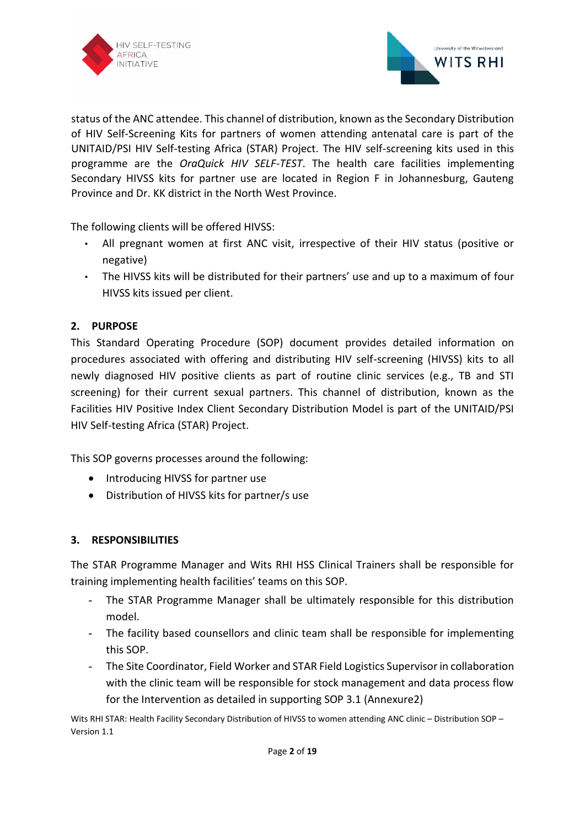



status of the ANC attendee. This channel of distribution, known as the Secondary Distribution of HIV Self-Screening Kits for partners of women attending antenatal care is part of the UNITAID/PSI HIV Self-testing Africa (STAR) Project. The HIV self-screening kits used in this programme are the *OraQuick HIV SELF-TEST*. The health care facilities implementing Secondary HIVSS kits for partner use are located in Region F in Johannesburg, Gauteng Province and Dr. KK district in the North West Province.

The following clients will be offered HIVSS:

- All pregnant women at first ANC visit, irrespective of their HIV status (positive or negative)
- The HIVSS kits will be distributed for their partners' use and up to a maximum of four HIVSS kits issued per client.

# **2. PURPOSE**

This Standard Operating Procedure (SOP) document provides detailed information on procedures associated with offering and distributing HIV self-screening (HIVSS) kits to all newly diagnosed HIV positive clients as part of routine clinic services (e.g., TB and STI screening) for their current sexual partners. This channel of distribution, known as the Facilities HIV Positive Index Client Secondary Distribution Model is part of the UNITAID/PSI HIV Self-testing Africa (STAR) Project.

This SOP governs processes around the following:

- Introducing HIVSS for partner use
- Distribution of HIVSS kits for partner/s use

### **3. RESPONSIBILITIES**

The STAR Programme Manager and Wits RHI HSS Clinical Trainers shall be responsible for training implementing health facilities' teams on this SOP.

- The STAR Programme Manager shall be ultimately responsible for this distribution model.
- The facility based counsellors and clinic team shall be responsible for implementing this SOP.
- The Site Coordinator, Field Worker and STAR Field Logistics Supervisor in collaboration with the clinic team will be responsible for stock management and data process flow for the Intervention as detailed in supporting SOP 3.1 (Annexure2)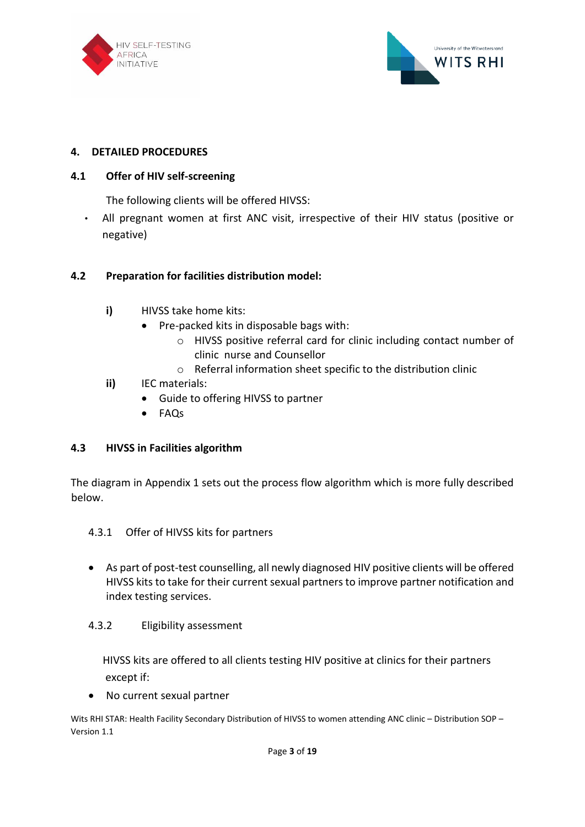



### **4. DETAILED PROCEDURES**

#### **4.1 Offer of HIV self-screening**

The following clients will be offered HIVSS:

• All pregnant women at first ANC visit, irrespective of their HIV status (positive or negative)

#### **4.2 Preparation for facilities distribution model:**

- **i)** HIVSS take home kits:
	- Pre-packed kits in disposable bags with:
		- o HIVSS positive referral card for clinic including contact number of clinic nurse and Counsellor
		- o Referral information sheet specific to the distribution clinic
- **ii)** IEC materials:
	- Guide to offering HIVSS to partner
	- FAQs

### **4.3 HIVSS in Facilities algorithm**

The diagram in Appendix 1 sets out the process flow algorithm which is more fully described below.

- 4.3.1 Offer of HIVSS kits for partners
- As part of post-test counselling, all newly diagnosed HIV positive clients will be offered HIVSS kits to take for their current sexual partners to improve partner notification and index testing services.

### 4.3.2 Eligibility assessment

 HIVSS kits are offered to all clients testing HIV positive at clinics for their partners except if:

• No current sexual partner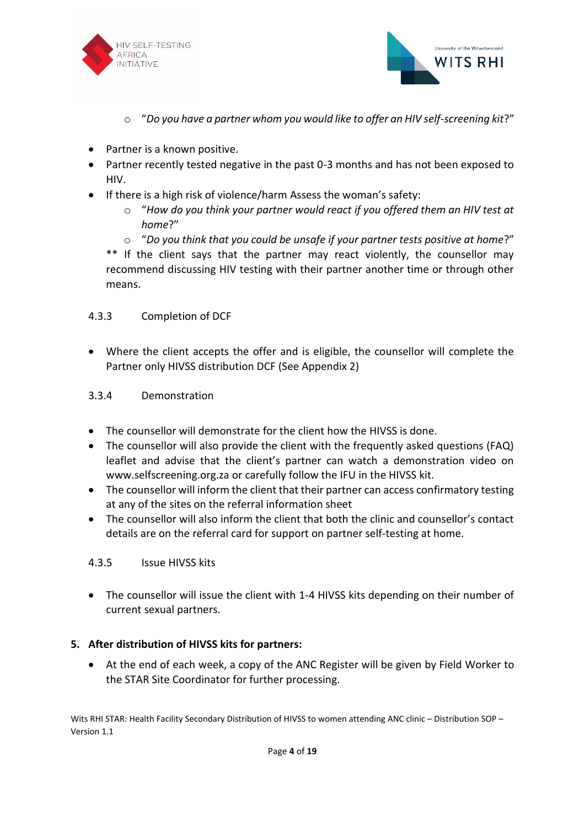



- o "*Do you have a partner whom you would like to offer an HIV self-screening kit*?"
- Partner is a known positive.
- Partner recently tested negative in the past 0-3 months and has not been exposed to HIV.
- If there is a high risk of violence/harm Assess the woman's safety:
	- o "*How do you think your partner would react if you offered them an HIV test at home*?"
	- o "*Do you think that you could be unsafe if your partner tests positive at home*?"

\*\* If the client says that the partner may react violently, the counsellor may recommend discussing HIV testing with their partner another time or through other means.

#### 4.3.3 Completion of DCF

• Where the client accepts the offer and is eligible, the counsellor will complete the Partner only HIVSS distribution DCF (See Appendix 2)

#### 3.3.4 Demonstration

- The counsellor will demonstrate for the client how the HIVSS is done.
- The counsellor will also provide the client with the frequently asked questions (FAQ) leaflet and advise that the client's partner can watch a demonstration video on www.selfscreening.org.za or carefully follow the IFU in the HIVSS kit.
- The counsellor will inform the client that their partner can access confirmatory testing at any of the sites on the referral information sheet
- The counsellor will also inform the client that both the clinic and counsellor's contact details are on the referral card for support on partner self-testing at home.

#### 4.3.5 Issue HIVSS kits

• The counsellor will issue the client with 1-4 HIVSS kits depending on their number of current sexual partners.

### **5. After distribution of HIVSS kits for partners:**

• At the end of each week, a copy of the ANC Register will be given by Field Worker to the STAR Site Coordinator for further processing.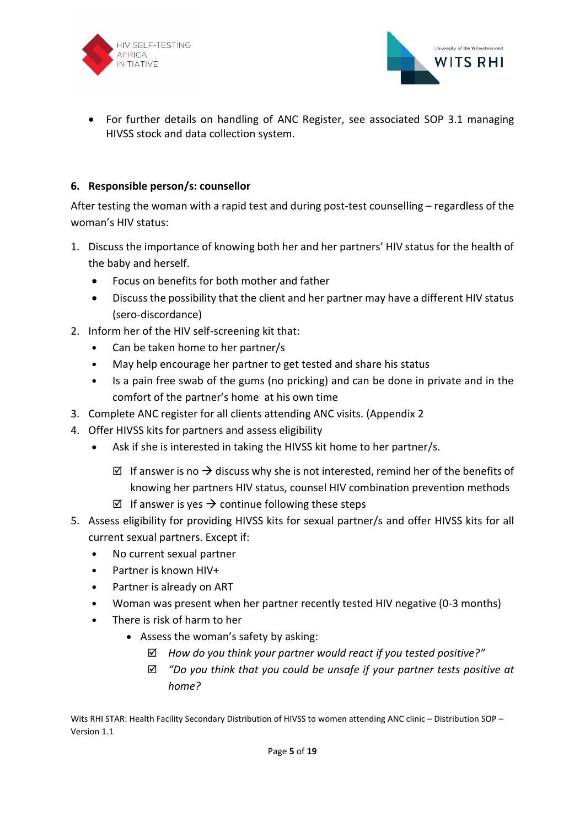



• For further details on handling of ANC Register, see associated SOP 3.1 managing HIVSS stock and data collection system.

## **6. Responsible person/s: counsellor**

After testing the woman with a rapid test and during post-test counselling – regardless of the woman's HIV status:

- 1. Discuss the importance of knowing both her and her partners' HIV status for the health of the baby and herself.
	- Focus on benefits for both mother and father
	- Discuss the possibility that the client and her partner may have a different HIV status (sero-discordance)
- 2. Inform her of the HIV self-screening kit that:
	- Can be taken home to her partner/s
	- May help encourage her partner to get tested and share his status
	- Is a pain free swab of the gums (no pricking) and can be done in private and in the comfort of the partner's home at his own time
- 3. Complete ANC register for all clients attending ANC visits. (Appendix 2
- 4. Offer HIVSS kits for partners and assess eligibility
	- Ask if she is interested in taking the HIVSS kit home to her partner/s.
		- $\boxtimes$  If answer is no → discuss why she is not interested, remind her of the benefits of knowing her partners HIV status, counsel HIV combination prevention methods
		- $\boxtimes$  If answer is yes  $\rightarrow$  continue following these steps
- 5. Assess eligibility for providing HIVSS kits for sexual partner/s and offer HIVSS kits for all current sexual partners. Except if:
	- No current sexual partner
	- Partner is known HIV+
	- Partner is already on ART
	- Woman was present when her partner recently tested HIV negative (0-3 months)
	- There is risk of harm to her
		- Assess the woman's safety by asking:
			- *How do you think your partner would react if you tested positive?"*
			- *"Do you think that you could be unsafe if your partner tests positive at home?*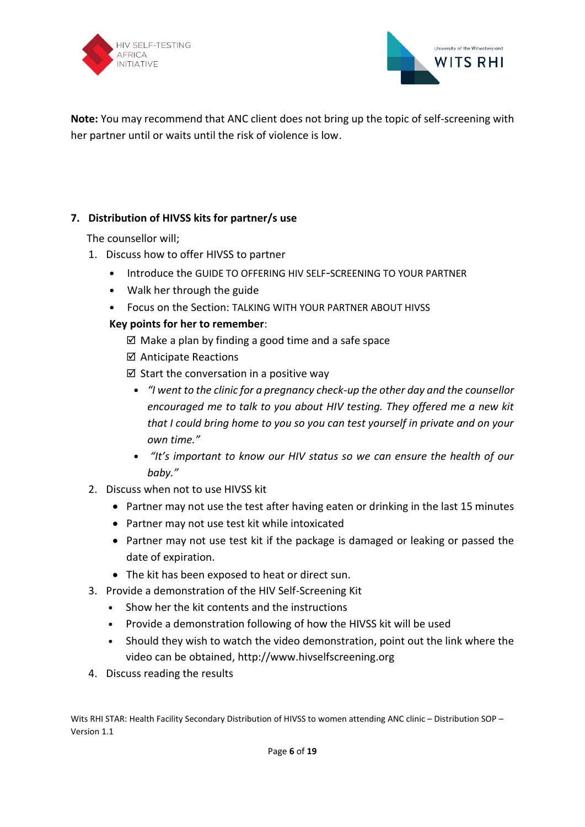



**Note:** You may recommend that ANC client does not bring up the topic of self-screening with her partner until or waits until the risk of violence is low.

# **7. Distribution of HIVSS kits for partner/s use**

The counsellor will;

- 1. Discuss how to offer HIVSS to partner
	- Introduce the GUIDE TO OFFERING HIV SELF-SCREENING TO YOUR PARTNER
	- Walk her through the guide
	- Focus on the Section: TALKING WITH YOUR PARTNER ABOUT HIVSS

## **Key points for her to remember**:

- $\boxtimes$  Make a plan by finding a good time and a safe space
- $\boxtimes$  Anticipate Reactions
- $\boxtimes$  Start the conversation in a positive way
	- *"I went to the clinic for a pregnancy check-up the other day and the counsellor encouraged me to talk to you about HIV testing. They offered me a new kit that I could bring home to you so you can test yourself in private and on your own time."*
	- *"It's important to know our HIV status so we can ensure the health of our baby."*
- 2. Discuss when not to use HIVSS kit
	- Partner may not use the test after having eaten or drinking in the last 15 minutes
	- Partner may not use test kit while intoxicated
	- Partner may not use test kit if the package is damaged or leaking or passed the date of expiration.
	- The kit has been exposed to heat or direct sun.
- 3. Provide a demonstration of the HIV Self-Screening Kit
	- Show her the kit contents and the instructions
	- Provide a demonstration following of how the HIVSS kit will be used
	- Should they wish to watch the video demonstration, point out the link where the video can be obtained, http://www.hivselfscreening.org
- 4. Discuss reading the results

Wits RHI STAR: Health Facility Secondary Distribution of HIVSS to women attending ANC clinic – Distribution SOP – Version 1.1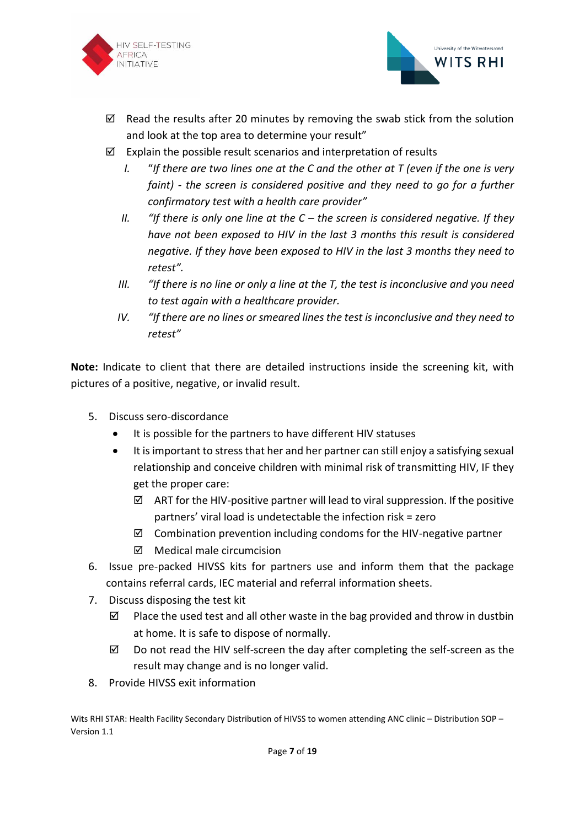



- $\boxtimes$  Read the results after 20 minutes by removing the swab stick from the solution and look at the top area to determine your result"
- $\boxtimes$  Explain the possible result scenarios and interpretation of results
	- *I.* "*If there are two lines one at the C and the other at T (even if the one is very faint) - the screen is considered positive and they need to go for a further confirmatory test with a health care provider"*
	- *II. "If there is only one line at the C – the screen is considered negative. If they have not been exposed to HIV in the last 3 months this result is considered negative. If they have been exposed to HIV in the last 3 months they need to retest".*
	- *III. "If there is no line or only a line at the T, the test is inconclusive and you need to test again with a healthcare provider.*
	- *IV. If there are no lines or smeared lines the test is inconclusive and they need to retest"*

**Note:** Indicate to client that there are detailed instructions inside the screening kit, with pictures of a positive, negative, or invalid result.

- 5. Discuss sero-discordance
	- It is possible for the partners to have different HIV statuses
	- It is important to stress that her and her partner can still enjoy a satisfying sexual relationship and conceive children with minimal risk of transmitting HIV, IF they get the proper care:
		- $\boxtimes$  ART for the HIV-positive partner will lead to viral suppression. If the positive partners' viral load is undetectable the infection risk = zero
		- $\boxtimes$  Combination prevention including condoms for the HIV-negative partner
		- $\boxtimes$  Medical male circumcision
- 6. Issue pre-packed HIVSS kits for partners use and inform them that the package contains referral cards, IEC material and referral information sheets.
- 7. Discuss disposing the test kit
	- $\boxtimes$  Place the used test and all other waste in the bag provided and throw in dustbin at home. It is safe to dispose of normally.
	- $\boxtimes$  Do not read the HIV self-screen the day after completing the self-screen as the result may change and is no longer valid.
- 8. Provide HIVSS exit information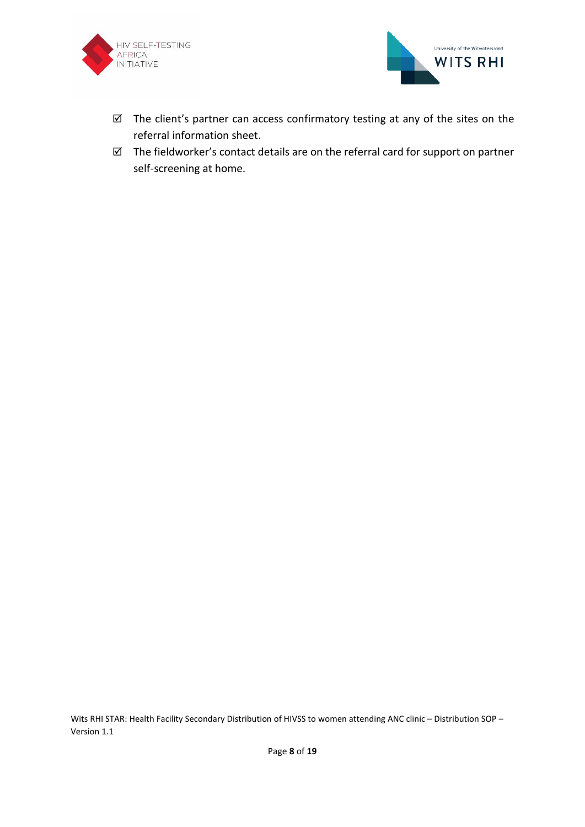



- $\boxtimes$  The client's partner can access confirmatory testing at any of the sites on the referral information sheet.
- $\boxtimes$  The fieldworker's contact details are on the referral card for support on partner self-screening at home.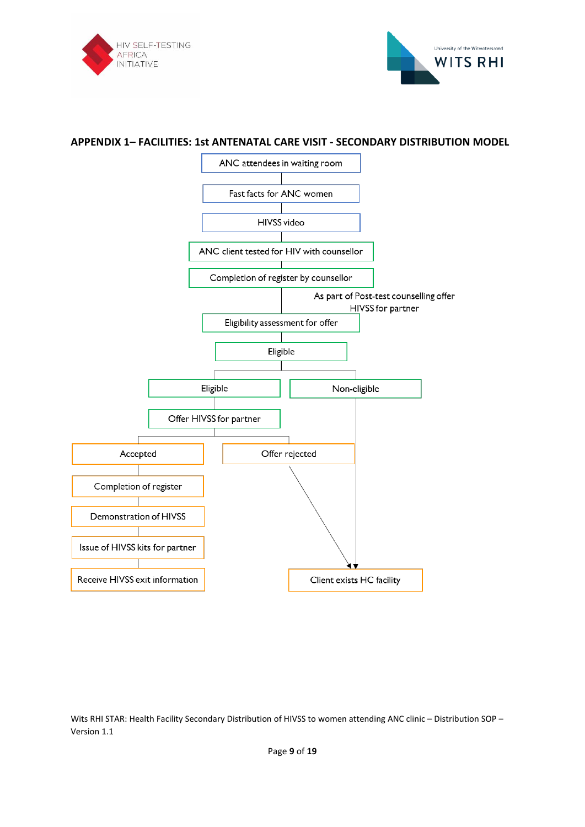



#### **APPENDIX 1– FACILITIES: 1st ANTENATAL CARE VISIT - SECONDARY DISTRIBUTION MODEL**

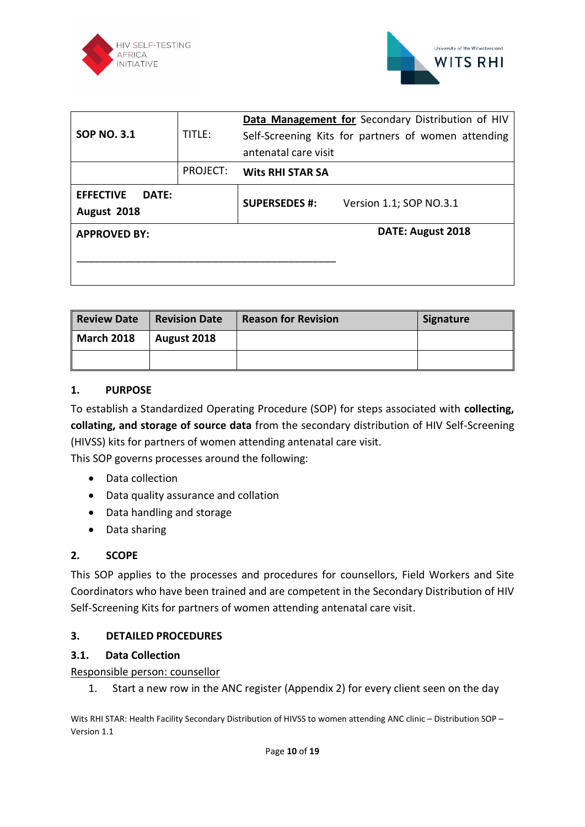



| <b>SOP NO. 3.1</b>                       | TITLE:   | Data Management for Secondary Distribution of HIV<br>Self-Screening Kits for partners of women attending<br>antenatal care visit |
|------------------------------------------|----------|----------------------------------------------------------------------------------------------------------------------------------|
|                                          | PROJECT: | <b>Wits RHI STAR SA</b>                                                                                                          |
| <b>EFFECTIVE</b><br>DATF:<br>August 2018 |          | <b>SUPERSEDES #:</b><br>Version 1.1; SOP NO.3.1                                                                                  |
| <b>APPROVED BY:</b>                      |          | DATE: August 2018                                                                                                                |
|                                          |          |                                                                                                                                  |

| <b>Review Date</b> | <b>Revision Date</b> | <b>Reason for Revision</b> | Signature |
|--------------------|----------------------|----------------------------|-----------|
| <b>March 2018</b>  | August 2018          |                            |           |
|                    |                      |                            |           |

### **1. PURPOSE**

To establish a Standardized Operating Procedure (SOP) for steps associated with **collecting, collating, and storage of source data** from the secondary distribution of HIV Self-Screening (HIVSS) kits for partners of women attending antenatal care visit.

This SOP governs processes around the following:

- Data collection
- Data quality assurance and collation
- Data handling and storage
- Data sharing

### **2. SCOPE**

This SOP applies to the processes and procedures for counsellors, Field Workers and Site Coordinators who have been trained and are competent in the Secondary Distribution of HIV Self-Screening Kits for partners of women attending antenatal care visit.

### **3. DETAILED PROCEDURES**

### **3.1. Data Collection**

### Responsible person: counsellor

1. Start a new row in the ANC register (Appendix 2) for every client seen on the day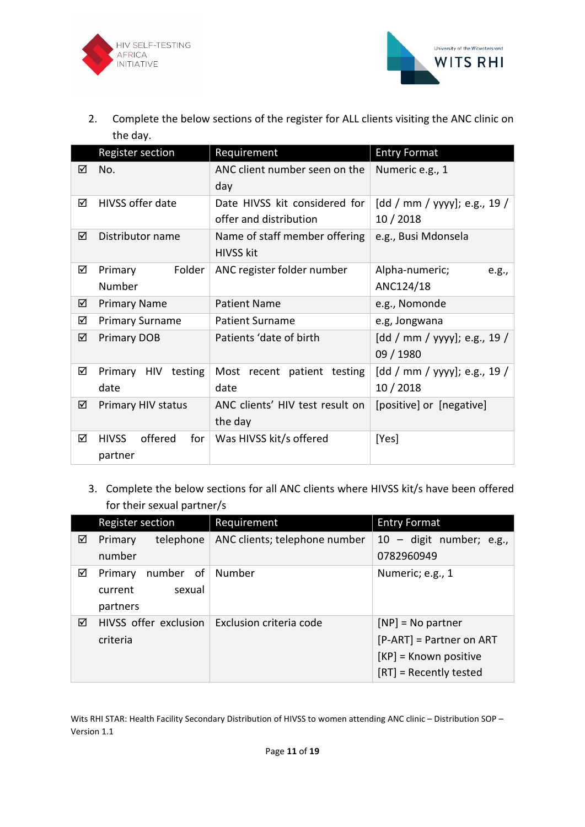



2. Complete the below sections of the register for ALL clients visiting the ANC clinic on the day.

|   | <b>Register section</b>                   | Requirement                                             | <b>Entry Format</b>                       |  |  |  |
|---|-------------------------------------------|---------------------------------------------------------|-------------------------------------------|--|--|--|
| ☑ | No.                                       | ANC client number seen on the<br>day                    | Numeric e.g., 1                           |  |  |  |
| ☑ | HIVSS offer date                          | Date HIVSS kit considered for<br>offer and distribution | [dd / mm / yyyy]; e.g., 19 /<br>10/2018   |  |  |  |
| ☑ | Distributor name                          | Name of staff member offering<br><b>HIVSS kit</b>       | e.g., Busi Mdonsela                       |  |  |  |
| ☑ | Folder<br>Primary<br>Number               | ANC register folder number                              | Alpha-numeric;<br>e.g.,<br>ANC124/18      |  |  |  |
| ☑ | <b>Primary Name</b>                       | <b>Patient Name</b>                                     | e.g., Nomonde                             |  |  |  |
| ☑ | <b>Primary Surname</b>                    | <b>Patient Surname</b>                                  | e.g, Jongwana                             |  |  |  |
| ☑ | <b>Primary DOB</b>                        | Patients 'date of birth                                 | [dd / mm / yyyy]; e.g., 19 /<br>09 / 1980 |  |  |  |
| ☑ | Primary HIV testing<br>date               | Most recent patient testing<br>date                     | [dd / mm / yyyy]; e.g., 19 /<br>10/2018   |  |  |  |
| ☑ | Primary HIV status                        | ANC clients' HIV test result on<br>the day              | [positive] or [negative]                  |  |  |  |
| ☑ | offered<br>for<br><b>HIVSS</b><br>partner | Was HIVSS kit/s offered                                 | [Yes]                                     |  |  |  |

3. Complete the below sections for all ANC clients where HIVSS kit/s have been offered for their sexual partner/s

|   | Register section      | Requirement                   | <b>Entry Format</b>            |  |  |  |
|---|-----------------------|-------------------------------|--------------------------------|--|--|--|
| ☑ | telephone<br>Primary  | ANC clients; telephone number | $10 -$ digit number; e.g.,     |  |  |  |
|   | number                |                               | 0782960949                     |  |  |  |
| ☑ | number of<br>Primary  | Number                        | Numeric; e.g., 1               |  |  |  |
|   | sexual<br>current     |                               |                                |  |  |  |
|   | partners              |                               |                                |  |  |  |
| ☑ | HIVSS offer exclusion | Exclusion criteria code       | $[NP] = No$ partner            |  |  |  |
|   | criteria              |                               | $[$ P-ART $]$ = Partner on ART |  |  |  |
|   |                       |                               | $[KP]$ = Known positive        |  |  |  |
|   |                       |                               | $[RT]$ = Recently tested       |  |  |  |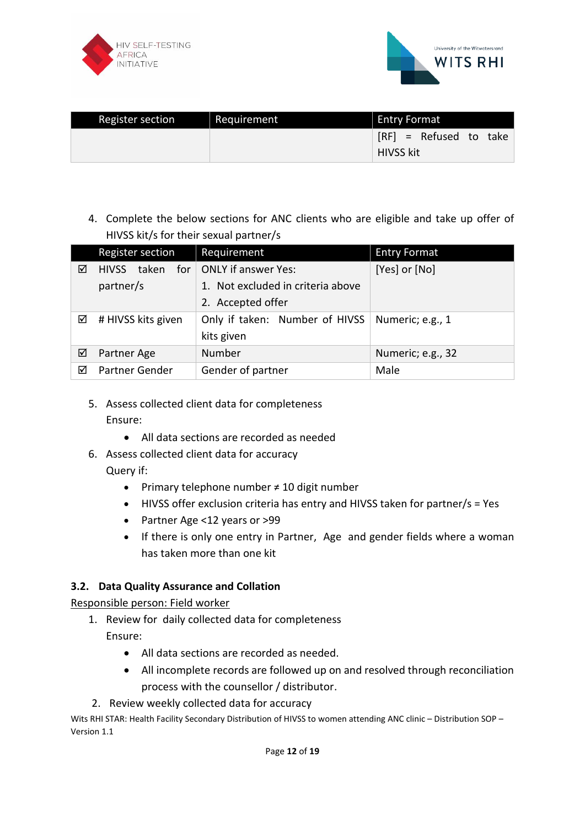



| Register section | Requirement | <b>Entry Format</b>                          |
|------------------|-------------|----------------------------------------------|
|                  |             | $[RF] =$ Refused to take<br><b>HIVSS kit</b> |

4. Complete the below sections for ANC clients who are eligible and take up offer of HIVSS kit/s for their sexual partner/s

|   | Register section             | Requirement                       | <b>Entry Format</b> |  |  |
|---|------------------------------|-----------------------------------|---------------------|--|--|
| ☑ | taken<br>for<br><b>HIVSS</b> | ONLY if answer Yes:               | [Yes] or [No]       |  |  |
|   | partner/s                    | 1. Not excluded in criteria above |                     |  |  |
|   |                              | 2. Accepted offer                 |                     |  |  |
| ☑ | # HIVSS kits given           | Only if taken: Number of HIVSS    | Numeric; e.g., 1    |  |  |
|   |                              | kits given                        |                     |  |  |
| ☑ | Partner Age                  | Number                            | Numeric; e.g., 32   |  |  |
| ⊠ | Partner Gender               | Gender of partner                 | Male                |  |  |

- 5. Assess collected client data for completeness Ensure:
	- All data sections are recorded as needed
- 6. Assess collected client data for accuracy Query if:
	- Primary telephone number ≠ 10 digit number
	- HIVSS offer exclusion criteria has entry and HIVSS taken for partner/s = Yes
	- Partner Age <12 years or >99
	- If there is only one entry in Partner, Age and gender fields where a woman has taken more than one kit

### **3.2. Data Quality Assurance and Collation**

Responsible person: Field worker

- 1. Review for daily collected data for completeness Ensure:
	- All data sections are recorded as needed.
	- All incomplete records are followed up on and resolved through reconciliation process with the counsellor / distributor.
- 2. Review weekly collected data for accuracy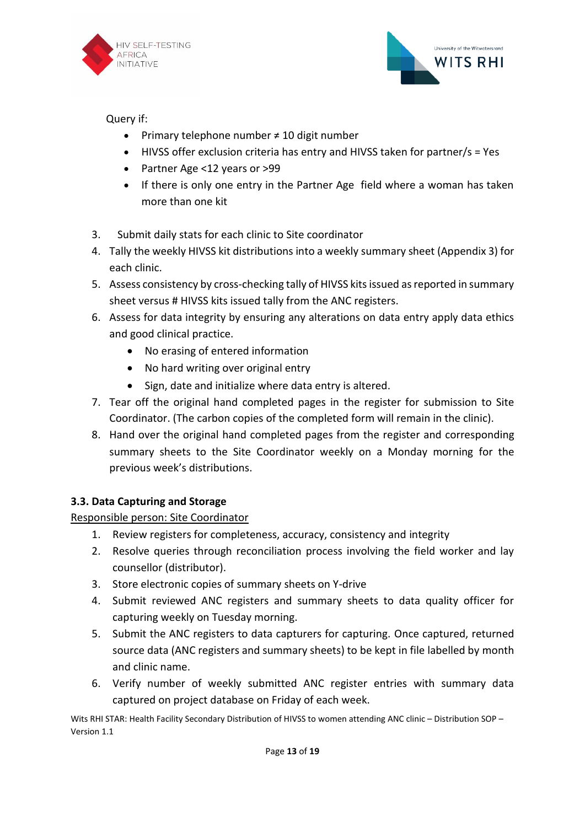



Query if:

- Primary telephone number ≠ 10 digit number
- HIVSS offer exclusion criteria has entry and HIVSS taken for partner/s = Yes
- Partner Age <12 years or >99
- If there is only one entry in the Partner Age field where a woman has taken more than one kit
- 3. Submit daily stats for each clinic to Site coordinator
- 4. Tally the weekly HIVSS kit distributions into a weekly summary sheet (Appendix 3) for each clinic.
- 5. Assess consistency by cross-checking tally of HIVSS kits issued as reported in summary sheet versus # HIVSS kits issued tally from the ANC registers.
- 6. Assess for data integrity by ensuring any alterations on data entry apply data ethics and good clinical practice.
	- No erasing of entered information
	- No hard writing over original entry
	- Sign, date and initialize where data entry is altered.
- 7. Tear off the original hand completed pages in the register for submission to Site Coordinator. (The carbon copies of the completed form will remain in the clinic).
- 8. Hand over the original hand completed pages from the register and corresponding summary sheets to the Site Coordinator weekly on a Monday morning for the previous week's distributions.

# **3.3. Data Capturing and Storage**

Responsible person: Site Coordinator

- 1. Review registers for completeness, accuracy, consistency and integrity
- 2. Resolve queries through reconciliation process involving the field worker and lay counsellor (distributor).
- 3. Store electronic copies of summary sheets on Y-drive
- 4. Submit reviewed ANC registers and summary sheets to data quality officer for capturing weekly on Tuesday morning.
- 5. Submit the ANC registers to data capturers for capturing. Once captured, returned source data (ANC registers and summary sheets) to be kept in file labelled by month and clinic name.
- 6. Verify number of weekly submitted ANC register entries with summary data captured on project database on Friday of each week.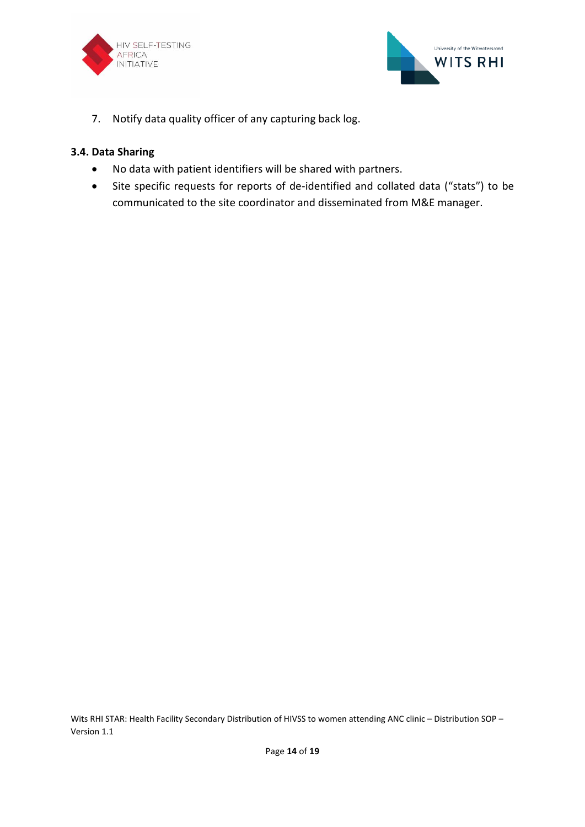



7. Notify data quality officer of any capturing back log.

### **3.4. Data Sharing**

- No data with patient identifiers will be shared with partners.
- Site specific requests for reports of de-identified and collated data ("stats") to be communicated to the site coordinator and disseminated from M&E manager.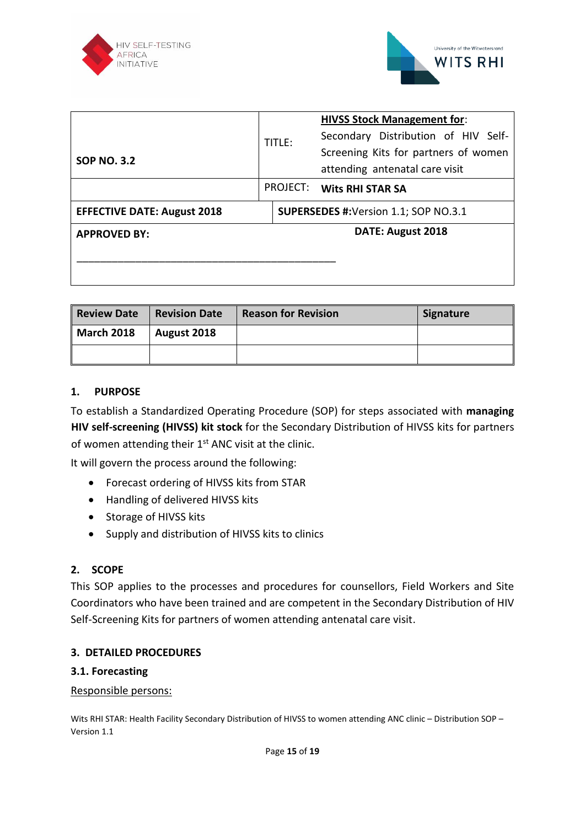



|                                    |  |        | <b>HIVSS Stock Management for:</b>           |  |  |  |
|------------------------------------|--|--------|----------------------------------------------|--|--|--|
|                                    |  | TITLE: | Secondary Distribution of HIV Self-          |  |  |  |
| <b>SOP NO. 3.2</b>                 |  |        | Screening Kits for partners of women         |  |  |  |
|                                    |  |        | attending antenatal care visit               |  |  |  |
|                                    |  |        | PROJECT: Wits RHI STAR SA                    |  |  |  |
| <b>EFFECTIVE DATE: August 2018</b> |  |        | <b>SUPERSEDES #: Version 1.1; SOP NO.3.1</b> |  |  |  |
| <b>APPROVED BY:</b>                |  |        | DATE: August 2018                            |  |  |  |
|                                    |  |        |                                              |  |  |  |
|                                    |  |        |                                              |  |  |  |
|                                    |  |        |                                              |  |  |  |

| <b>Review Date</b> | <b>Revision Date</b> | <b>Reason for Revision</b> | <b>Signature</b> |
|--------------------|----------------------|----------------------------|------------------|
| <b>March 2018</b>  | August 2018          |                            |                  |
|                    |                      |                            |                  |

#### **1. PURPOSE**

To establish a Standardized Operating Procedure (SOP) for steps associated with **managing HIV self-screening (HIVSS) kit stock** for the Secondary Distribution of HIVSS kits for partners of women attending their 1<sup>st</sup> ANC visit at the clinic.

It will govern the process around the following:

- Forecast ordering of HIVSS kits from STAR
- Handling of delivered HIVSS kits
- Storage of HIVSS kits
- Supply and distribution of HIVSS kits to clinics

### **2. SCOPE**

This SOP applies to the processes and procedures for counsellors, Field Workers and Site Coordinators who have been trained and are competent in the Secondary Distribution of HIV Self-Screening Kits for partners of women attending antenatal care visit.

### **3. DETAILED PROCEDURES**

#### **3.1. Forecasting**

#### Responsible persons: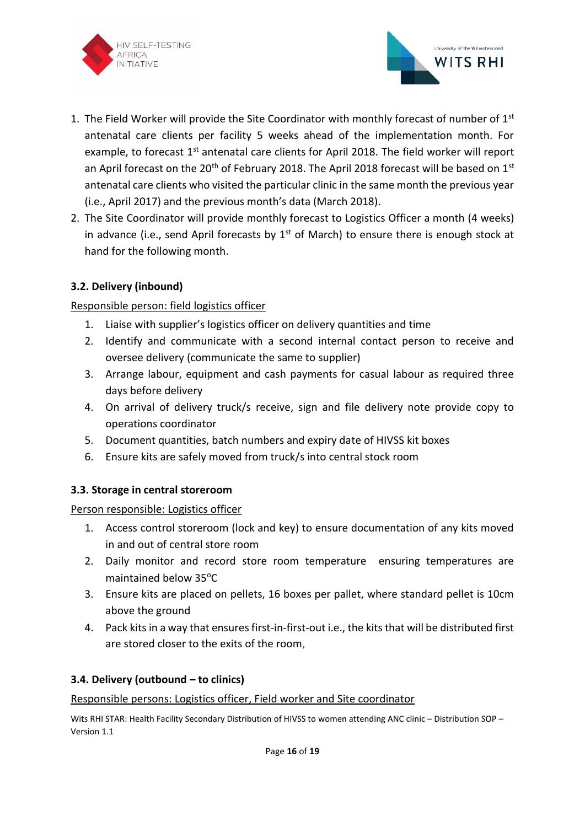



- 1. The Field Worker will provide the Site Coordinator with monthly forecast of number of  $1<sup>st</sup>$ antenatal care clients per facility 5 weeks ahead of the implementation month. For example, to forecast 1<sup>st</sup> antenatal care clients for April 2018. The field worker will report an April forecast on the  $20<sup>th</sup>$  of February 2018. The April 2018 forecast will be based on  $1<sup>st</sup>$ antenatal care clients who visited the particular clinic in the same month the previous year (i.e., April 2017) and the previous month's data (March 2018).
- 2. The Site Coordinator will provide monthly forecast to Logistics Officer a month (4 weeks) in advance (i.e., send April forecasts by  $1<sup>st</sup>$  of March) to ensure there is enough stock at hand for the following month.

# **3.2. Delivery (inbound)**

## Responsible person: field logistics officer

- 1. Liaise with supplier's logistics officer on delivery quantities and time
- 2. Identify and communicate with a second internal contact person to receive and oversee delivery (communicate the same to supplier)
- 3. Arrange labour, equipment and cash payments for casual labour as required three days before delivery
- 4. On arrival of delivery truck/s receive, sign and file delivery note provide copy to operations coordinator
- 5. Document quantities, batch numbers and expiry date of HIVSS kit boxes
- 6. Ensure kits are safely moved from truck/s into central stock room

### **3.3. Storage in central storeroom**

### Person responsible: Logistics officer

- 1. Access control storeroom (lock and key) to ensure documentation of any kits moved in and out of central store room
- 2. Daily monitor and record store room temperature ensuring temperatures are maintained below 35°C
- 3. Ensure kits are placed on pellets, 16 boxes per pallet, where standard pellet is 10cm above the ground
- 4. Pack kits in a way that ensures first-in-first-out i.e., the kits that will be distributed first are stored closer to the exits of the room,

### **3.4. Delivery (outbound – to clinics)**

#### Responsible persons: Logistics officer, Field worker and Site coordinator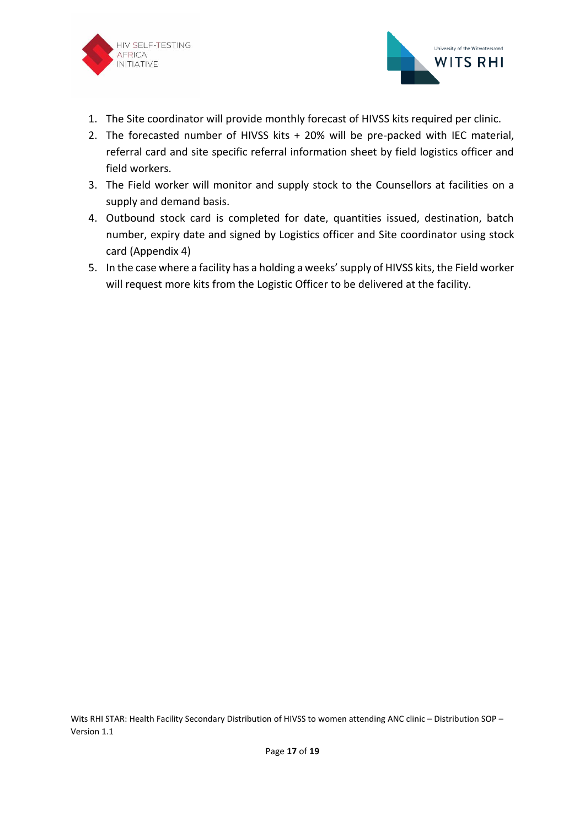



- 1. The Site coordinator will provide monthly forecast of HIVSS kits required per clinic.
- 2. The forecasted number of HIVSS kits + 20% will be pre-packed with IEC material, referral card and site specific referral information sheet by field logistics officer and field workers.
- 3. The Field worker will monitor and supply stock to the Counsellors at facilities on a supply and demand basis.
- 4. Outbound stock card is completed for date, quantities issued, destination, batch number, expiry date and signed by Logistics officer and Site coordinator using stock card (Appendix 4)
- 5. In the case where a facility has a holding a weeks' supply of HIVSS kits, the Field worker will request more kits from the Logistic Officer to be delivered at the facility.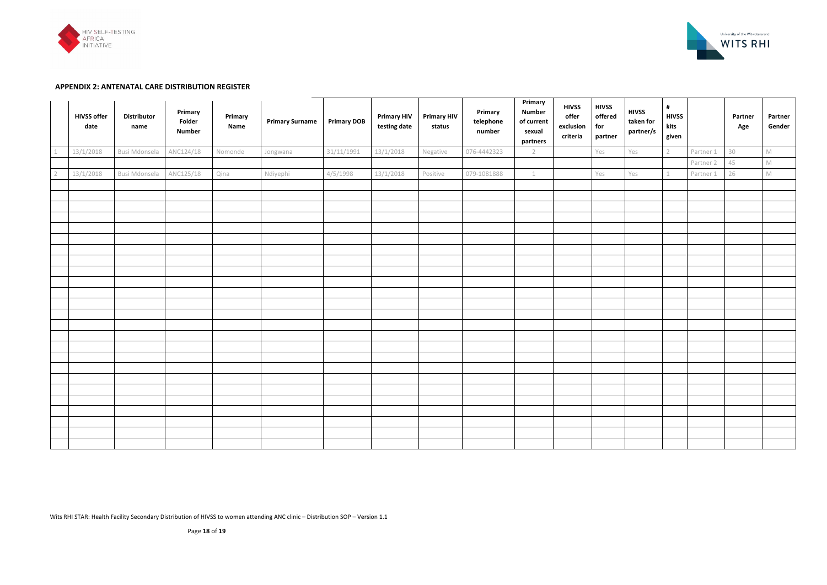Wits RHI STAR: Health Facility Secondary Distribution of HIVSS to women attending ANC clinic – Distribution SOP – Version 1.1



| <b>HIVSS offer</b><br>date | <b>Distributor</b><br>name | Primary<br>Folder<br><b>Number</b> | Primary<br>Name | <b>Primary Surname</b> | <b>Primary DOB</b> | <b>Primary HIV</b><br>testing date | <b>Primary HIV</b><br>status | Primary<br>telephone<br>number | Primary<br><b>Number</b><br>of current<br>sexual<br>partners | <b>HIVSS</b><br>offer<br>exclusion<br>criteria | <b>HIVSS</b><br>offered<br>for<br>partner | <b>HIVSS</b><br>taken for<br>partner/s | $\pmb{\sharp}$<br><b>HIVSS</b><br>kits<br>given |           | Partner<br>Age | Partner<br>Gender |
|----------------------------|----------------------------|------------------------------------|-----------------|------------------------|--------------------|------------------------------------|------------------------------|--------------------------------|--------------------------------------------------------------|------------------------------------------------|-------------------------------------------|----------------------------------------|-------------------------------------------------|-----------|----------------|-------------------|
| 13/1/2018                  | Busi Mdonsela              | ANC124/18                          | Nomonde         | Jongwana               | 31/11/1991         | 13/1/2018                          | Negative                     | 076-4442323                    | $\overline{2}$                                               |                                                | Yes                                       | Yes                                    | $2^{\circ}$                                     | Partner 1 | 30             | $\mathbb M$       |
|                            |                            |                                    |                 |                        |                    |                                    |                              |                                |                                                              |                                                |                                           |                                        |                                                 | Partner 2 | 45             | $\mathbb M$       |
| 13/1/2018                  | Busi Mdonsela              | ANC125/18                          | Qina            | Ndiyephi               | 4/5/1998           | 13/1/2018                          | Positive                     | 079-1081888                    | $\perp$                                                      |                                                | Yes                                       | Yes                                    | 1                                               | Partner 1 | 26             | $\mathbb M$       |
|                            |                            |                                    |                 |                        |                    |                                    |                              |                                |                                                              |                                                |                                           |                                        |                                                 |           |                |                   |
|                            |                            |                                    |                 |                        |                    |                                    |                              |                                |                                                              |                                                |                                           |                                        |                                                 |           |                |                   |
|                            |                            |                                    |                 |                        |                    |                                    |                              |                                |                                                              |                                                |                                           |                                        |                                                 |           |                |                   |
|                            |                            |                                    |                 |                        |                    |                                    |                              |                                |                                                              |                                                |                                           |                                        |                                                 |           |                |                   |
|                            |                            |                                    |                 |                        |                    |                                    |                              |                                |                                                              |                                                |                                           |                                        |                                                 |           |                |                   |
|                            |                            |                                    |                 |                        |                    |                                    |                              |                                |                                                              |                                                |                                           |                                        |                                                 |           |                |                   |
|                            |                            |                                    |                 |                        |                    |                                    |                              |                                |                                                              |                                                |                                           |                                        |                                                 |           |                |                   |
|                            |                            |                                    |                 |                        |                    |                                    |                              |                                |                                                              |                                                |                                           |                                        |                                                 |           |                |                   |
|                            |                            |                                    |                 |                        |                    |                                    |                              |                                |                                                              |                                                |                                           |                                        |                                                 |           |                |                   |
|                            |                            |                                    |                 |                        |                    |                                    |                              |                                |                                                              |                                                |                                           |                                        |                                                 |           |                |                   |
|                            |                            |                                    |                 |                        |                    |                                    |                              |                                |                                                              |                                                |                                           |                                        |                                                 |           |                |                   |
|                            |                            |                                    |                 |                        |                    |                                    |                              |                                |                                                              |                                                |                                           |                                        |                                                 |           |                |                   |
|                            |                            |                                    |                 |                        |                    |                                    |                              |                                |                                                              |                                                |                                           |                                        |                                                 |           |                |                   |
|                            |                            |                                    |                 |                        |                    |                                    |                              |                                |                                                              |                                                |                                           |                                        |                                                 |           |                |                   |
|                            |                            |                                    |                 |                        |                    |                                    |                              |                                |                                                              |                                                |                                           |                                        |                                                 |           |                |                   |
|                            |                            |                                    |                 |                        |                    |                                    |                              |                                |                                                              |                                                |                                           |                                        |                                                 |           |                |                   |
|                            |                            |                                    |                 |                        |                    |                                    |                              |                                |                                                              |                                                |                                           |                                        |                                                 |           |                |                   |
|                            |                            |                                    |                 |                        |                    |                                    |                              |                                |                                                              |                                                |                                           |                                        |                                                 |           |                |                   |
|                            |                            |                                    |                 |                        |                    |                                    |                              |                                |                                                              |                                                |                                           |                                        |                                                 |           |                |                   |
|                            |                            |                                    |                 |                        |                    |                                    |                              |                                |                                                              |                                                |                                           |                                        |                                                 |           |                |                   |
|                            |                            |                                    |                 |                        |                    |                                    |                              |                                |                                                              |                                                |                                           |                                        |                                                 |           |                |                   |
|                            |                            |                                    |                 |                        |                    |                                    |                              |                                |                                                              |                                                |                                           |                                        |                                                 |           |                |                   |
|                            |                            |                                    |                 |                        |                    |                                    |                              |                                |                                                              |                                                |                                           |                                        |                                                 |           |                |                   |
|                            |                            |                                    |                 |                        |                    |                                    |                              |                                |                                                              |                                                |                                           |                                        |                                                 |           |                |                   |



#### **APPENDIX 2: ANTENATAL CARE DISTRIBUTION REGISTER**